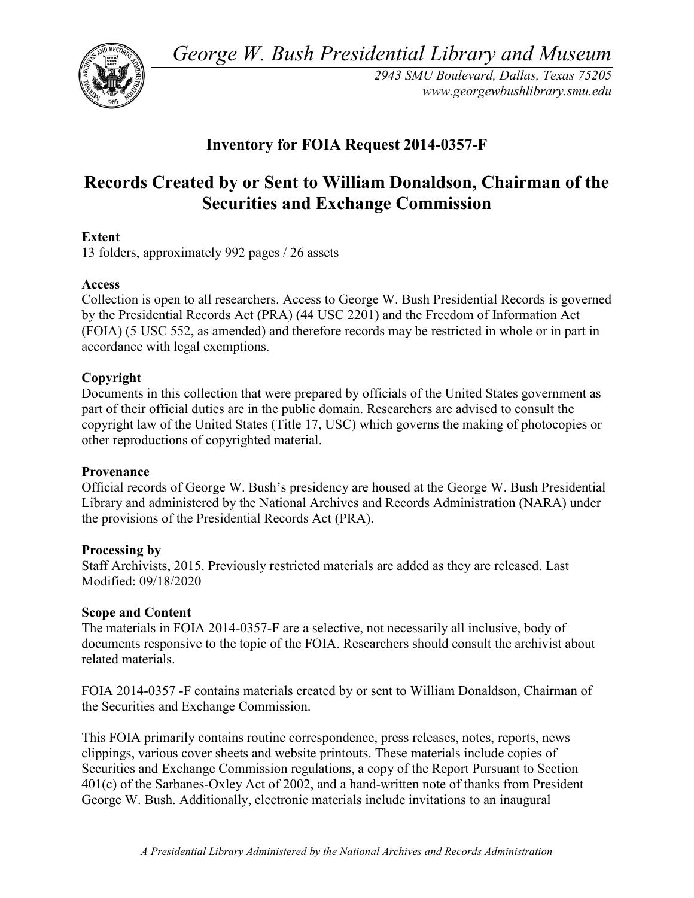*George W. Bush Presidential Library and Museum* 



 *2943 SMU Boulevard, Dallas, Texas 75205 <www.georgewbushlibrary.smu.edu>*

# **Inventory for FOIA Request 2014-0357-F**

# **Records Created by or Sent to William Donaldson, Chairman of the Securities and Exchange Commission**

### **Extent**

13 folders, approximately 992 pages / 26 assets

### **Access**

 by the Presidential Records Act (PRA) (44 USC 2201) and the Freedom of Information Act Collection is open to all researchers. Access to George W. Bush Presidential Records is governed (FOIA) (5 USC 552, as amended) and therefore records may be restricted in whole or in part in accordance with legal exemptions.

## **Copyright**

 Documents in this collection that were prepared by officials of the United States government as part of their official duties are in the public domain. Researchers are advised to consult the copyright law of the United States (Title 17, USC) which governs the making of photocopies or other reproductions of copyrighted material.

### **Provenance**

 Official records of George W. Bush's presidency are housed at the George W. Bush Presidential Library and administered by the National Archives and Records Administration (NARA) under the provisions of the Presidential Records Act (PRA).

### **Processing by**

 Modified: 09/18/2020 Staff Archivists, 2015. Previously restricted materials are added as they are released. Last

### **Scope and Content**

The materials in FOIA 2014-0357-F are a selective, not necessarily all inclusive, body of documents responsive to the topic of the FOIA. Researchers should consult the archivist about related materials.

FOIA 2014-0357 -F contains materials created by or sent to William Donaldson, Chairman of the Securities and Exchange Commission.

 This FOIA primarily contains routine correspondence, press releases, notes, reports, news 401(c) of the Sarbanes-Oxley Act of 2002, and a hand-written note of thanks from President clippings, various cover sheets and website printouts. These materials include copies of Securities and Exchange Commission regulations, a copy of the Report Pursuant to Section George W. Bush. Additionally, electronic materials include invitations to an inaugural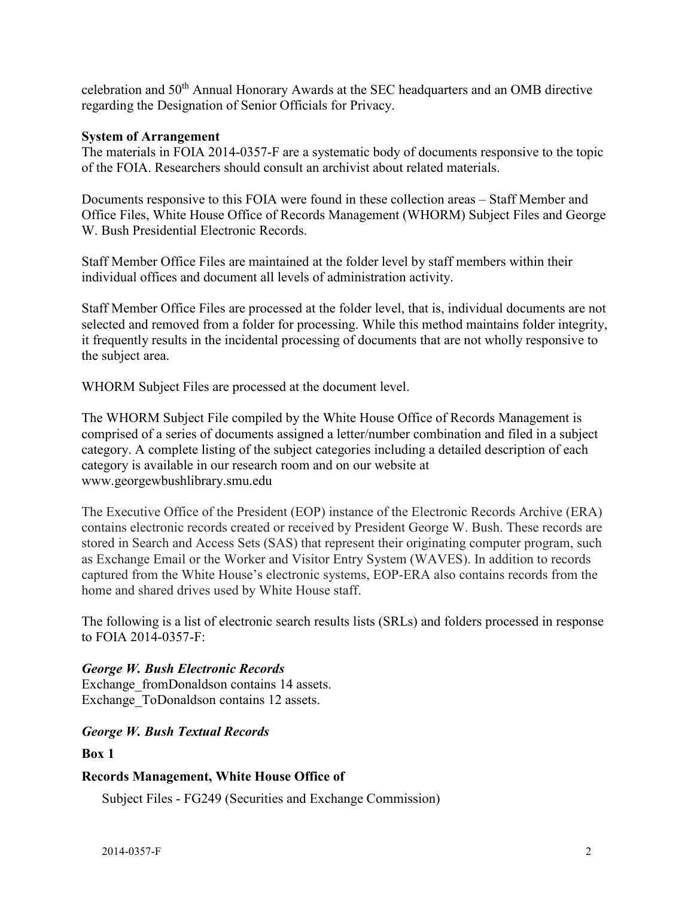celebration and 50th Annual Honorary Awards at the SEC headquarters and an OMB directive regarding the Designation of Senior Officials for Privacy.

#### **System of Arrangement**

The materials in FOIA 2014-0357-F are a systematic body of documents responsive to the topic of the FOIA. Researchers should consult an archivist about related materials.

 Documents responsive to this FOIA were found in these collection areas – Staff Member and Office Files, White House Office of Records Management (WHORM) Subject Files and George W. Bush Presidential Electronic Records.

Staff Member Office Files are maintained at the folder level by staff members within their individual offices and document all levels of administration activity.

Staff Member Office Files are processed at the folder level, that is, individual documents are not selected and removed from a folder for processing. While this method maintains folder integrity, it frequently results in the incidental processing of documents that are not wholly responsive to the subject area.

WHORM Subject Files are processed at the document level.

The WHORM Subject File compiled by the White House Office of Records Management is comprised of a series of documents assigned a letter/number combination and filed in a subject category. A complete listing of the subject categories including a detailed description of each category is available in our research room and on our website at <www.georgewbushlibrary.smu.edu>

 The Executive Office of the President (EOP) instance of the Electronic Records Archive (ERA) contains electronic records created or received by President George W. Bush. These records are stored in Search and Access Sets (SAS) that represent their originating computer program, such as Exchange Email or the Worker and Visitor Entry System (WAVES). In addition to records captured from the White House's electronic systems, EOP-ERA also contains records from the home and shared drives used by White House staff.

 The following is a list of electronic search results lists (SRLs) and folders processed in response to FOIA 2014-0357-F:

### *George W. Bush Electronic Records*

Exchange fromDonaldson contains 14 assets. Exchange\_ToDonaldson contains 12 assets.

### *George W. Bush Textual Records*

#### **Box 1**

#### **Records Management, White House Office of**

Subject Files - FG249 (Securities and Exchange Commission)